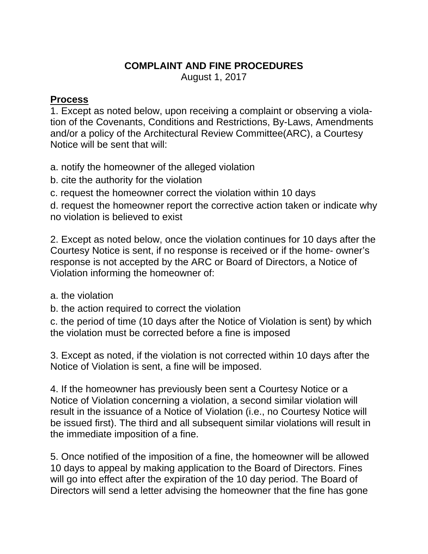## **COMPLAINT AND FINE PROCEDURES**

August 1, 2017

## **Process**

1. Except as noted below, upon receiving a complaint or observing a violation of the Covenants, Conditions and Restrictions, By-Laws, Amendments and/or a policy of the Architectural Review Committee(ARC), a Courtesy Notice will be sent that will:

a. notify the homeowner of the alleged violation

- b. cite the authority for the violation
- c. request the homeowner correct the violation within 10 days

d. request the homeowner report the corrective action taken or indicate why no violation is believed to exist

2. Except as noted below, once the violation continues for 10 days after the Courtesy Notice is sent, if no response is received or if the home- owner's response is not accepted by the ARC or Board of Directors, a Notice of Violation informing the homeowner of:

a. the violation

b. the action required to correct the violation

c. the period of time (10 days after the Notice of Violation is sent) by which the violation must be corrected before a fine is imposed

3. Except as noted, if the violation is not corrected within 10 days after the Notice of Violation is sent, a fine will be imposed.

4. If the homeowner has previously been sent a Courtesy Notice or a Notice of Violation concerning a violation, a second similar violation will result in the issuance of a Notice of Violation (i.e., no Courtesy Notice will be issued first). The third and all subsequent similar violations will result in the immediate imposition of a fine.

5. Once notified of the imposition of a fine, the homeowner will be allowed 10 days to appeal by making application to the Board of Directors. Fines will go into effect after the expiration of the 10 day period. The Board of Directors will send a letter advising the homeowner that the fine has gone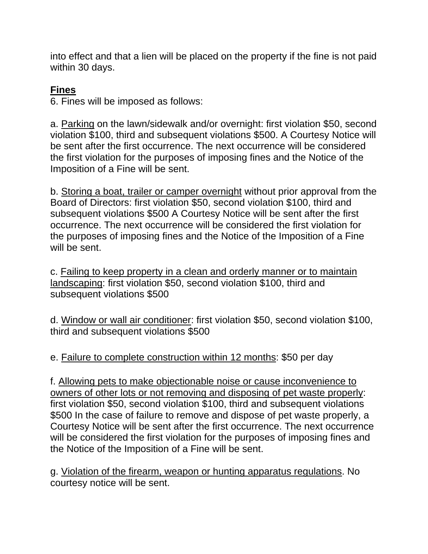into effect and that a lien will be placed on the property if the fine is not paid within 30 days.

## **Fines**

6. Fines will be imposed as follows:

a. Parking on the lawn/sidewalk and/or overnight: first violation \$50, second violation \$100, third and subsequent violations \$500. A Courtesy Notice will be sent after the first occurrence. The next occurrence will be considered the first violation for the purposes of imposing fines and the Notice of the Imposition of a Fine will be sent.

b. Storing a boat, trailer or camper overnight without prior approval from the Board of Directors: first violation \$50, second violation \$100, third and subsequent violations \$500 A Courtesy Notice will be sent after the first occurrence. The next occurrence will be considered the first violation for the purposes of imposing fines and the Notice of the Imposition of a Fine will be sent.

c. Failing to keep property in a clean and orderly manner or to maintain landscaping: first violation \$50, second violation \$100, third and subsequent violations \$500

d. Window or wall air conditioner: first violation \$50, second violation \$100, third and subsequent violations \$500

e. Failure to complete construction within 12 months: \$50 per day

f. Allowing pets to make objectionable noise or cause inconvenience to owners of other lots or not removing and disposing of pet waste properly: first violation \$50, second violation \$100, third and subsequent violations \$500 In the case of failure to remove and dispose of pet waste properly, a Courtesy Notice will be sent after the first occurrence. The next occurrence will be considered the first violation for the purposes of imposing fines and the Notice of the Imposition of a Fine will be sent.

g. Violation of the firearm, weapon or hunting apparatus regulations. No courtesy notice will be sent.